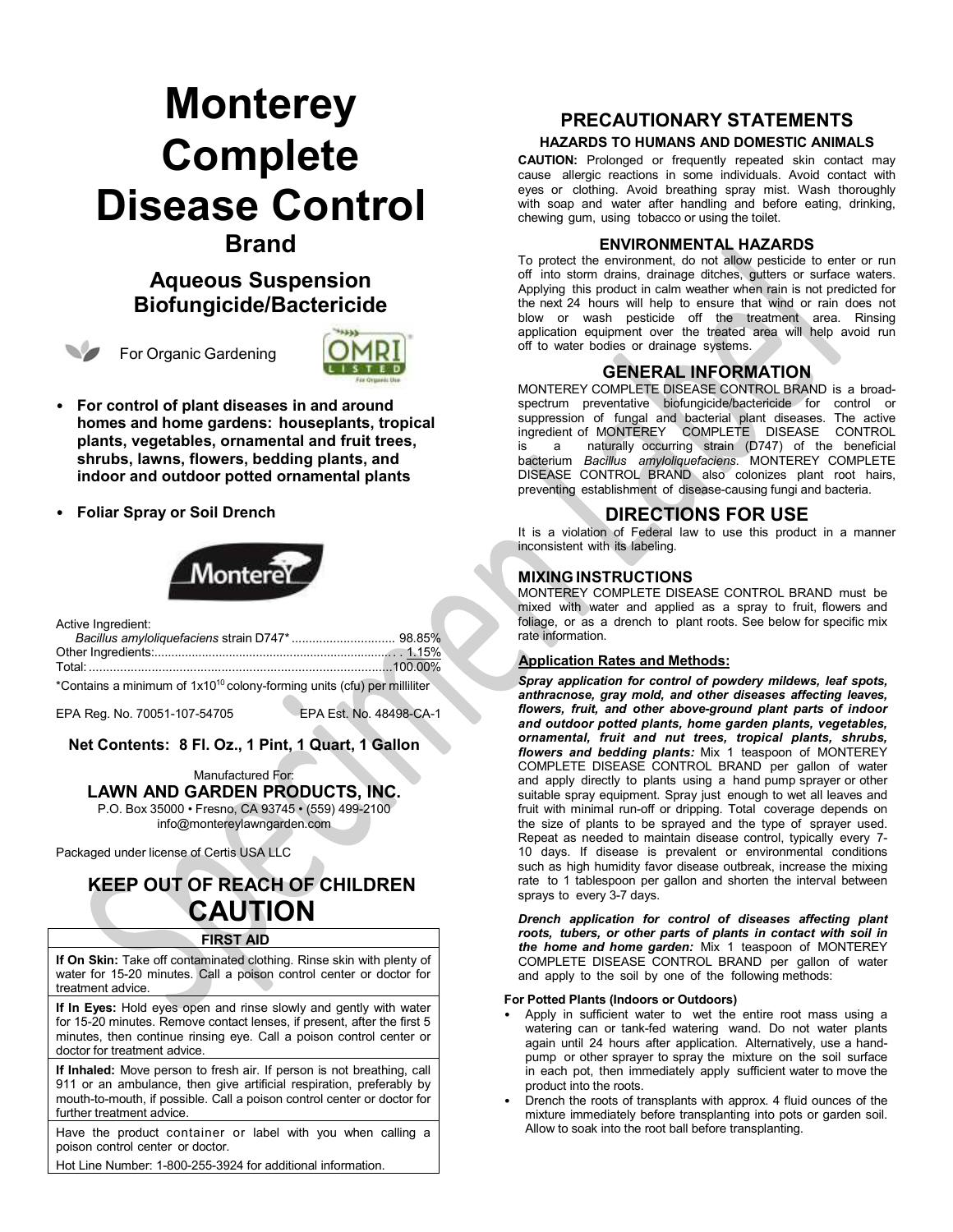# **Monterey Complete Disease Control Brand**

# **Aqueous Suspension Biofungicide/Bactericide**

For Organic Gardening



- **For control of plant diseases in and around homes and home gardens: houseplants, tropical plants, vegetables, ornamental and fruit trees, shrubs, lawns, flowers, bedding plants, and indoor and outdoor potted ornamental plants**
- **Foliar Spray or Soil Drench**



| Active Ingredient: |  |
|--------------------|--|
|                    |  |
|                    |  |
|                    |  |
|                    |  |

\*Contains a minimum of 1x1010 colony-forming units (cfu) per milliliter

EPA Reg. No. 70051-107-54705 EPA Est. No. 48498-CA-1

# **Net Contents: 8 Fl. Oz., 1 Pint, 1 Quart, 1 Gallon**

Manufactured For: **LAWN AND GARDEN PRODUCTS, INC.** P.O. Box 35000 • Fresno, CA 93745 • (559) 499-2100

[info@montereylawngarden.com](mailto:info@montereylawngarden.com)

Packaged under license of Certis USA LLC

# **KEEP OUT OF REACH OF CHILDREN CAUTION**

#### **FIRST AID**

**If On Skin:** Take off contaminated clothing. Rinse skin with plenty of water for 15-20 minutes. Call a poison control center or doctor for treatment advice.

**If In Eyes:** Hold eyes open and rinse slowly and gently with water for 15-20 minutes. Remove contact lenses, if present, after the first 5 minutes, then continue rinsing eye. Call a poison control center or doctor for treatment advice.

**If Inhaled:** Move person to fresh air. If person is not breathing, call 911 or an ambulance, then give artificial respiration, preferably by mouth-to-mouth, if possible. Call a poison control center or doctor for further treatment advice.

Have the product container or label with you when calling a poison control center or doctor.

Hot Line Number: 1-800-255-3924 for additional information.

# **PRECAUTIONARY STATEMENTS**

#### **HAZARDS TO HUMANS AND DOMESTIC ANIMALS**

**CAUTION:** Prolonged or frequently repeated skin contact may cause allergic reactions in some individuals. Avoid contact with eyes or clothing. Avoid breathing spray mist. Wash thoroughly with soap and water after handling and before eating, drinking, chewing gum, using tobacco or using the toilet.

#### **ENVIRONMENTAL HAZARDS**

To protect the environment, do not allow pesticide to enter or run off into storm drains, drainage ditches, gutters or surface waters. Applying this product in calm weather when rain is not predicted for the next 24 hours will help to ensure that wind or rain does not blow or wash pesticide off the treatment area. Rinsing application equipment over the treated area will help avoid run off to water bodies or drainage systems.

# **GENERAL INFORMATION**

MONTEREY COMPLETE DISEASE CONTROL BRAND is a broadspectrum preventative biofungicide/bactericide for control or suppression of fungal and bacterial plant diseases. The active ingredient of MONTEREY COMPLETE DISEASE CONTROL is a naturally occurring strain (D747) of the beneficial bacterium *Bacillus amyloliquefaciens*. MONTEREY COMPLETE DISEASE CONTROL BRAND also colonizes plant root hairs, preventing establishment of disease-causing fungi and bacteria.

# **DIRECTIONS FOR USE**

It is a violation of Federal law to use this product in a manner inconsistent with its labeling.

## **MIXING INSTRUCTIONS**

MONTEREY COMPLETE DISEASE CONTROL BRAND must be mixed with water and applied as a spray to fruit, flowers and foliage, or as a drench to plant roots. See below for specific mix rate information.

## **Application Rates and Methods:**

*Spray application for control of powdery mildews, leaf spots, anthracnose, gray mold, and other diseases affecting leaves, flowers, fruit, and other above-ground plant parts of indoor and outdoor potted plants, home garden plants, vegetables, ornamental, fruit and nut trees, tropical plants, shrubs, flowers and bedding plants:* Mix 1 teaspoon of MONTEREY COMPLETE DISEASE CONTROL BRAND per gallon of water and apply directly to plants using a hand pump sprayer or other suitable spray equipment. Spray just enough to wet all leaves and fruit with minimal run-off or dripping. Total coverage depends on the size of plants to be sprayed and the type of sprayer used. Repeat as needed to maintain disease control, typically every 7- 10 days. If disease is prevalent or environmental conditions such as high humidity favor disease outbreak, increase the mixing rate to 1 tablespoon per gallon and shorten the interval between sprays to every 3-7 days.

*Drench application for control of diseases affecting plant roots, tubers, or other parts of plants in contact with soil in the home and home garden:* Mix 1 teaspoon of MONTEREY COMPLETE DISEASE CONTROL BRAND per gallon of water and apply to the soil by one of the following methods:

#### **For Potted Plants (Indoors or Outdoors)**

- Apply in sufficient water to wet the entire root mass using a watering can or tank-fed watering wand. Do not water plants again until 24 hours after application. Alternatively, use a handpump or other sprayer to spray the mixture on the soil surface in each pot, then immediately apply sufficient water to move the product into the roots.
- Drench the roots of transplants with approx. 4 fluid ounces of the mixture immediately before transplanting into pots or garden soil. Allow to soak into the root ball before transplanting.